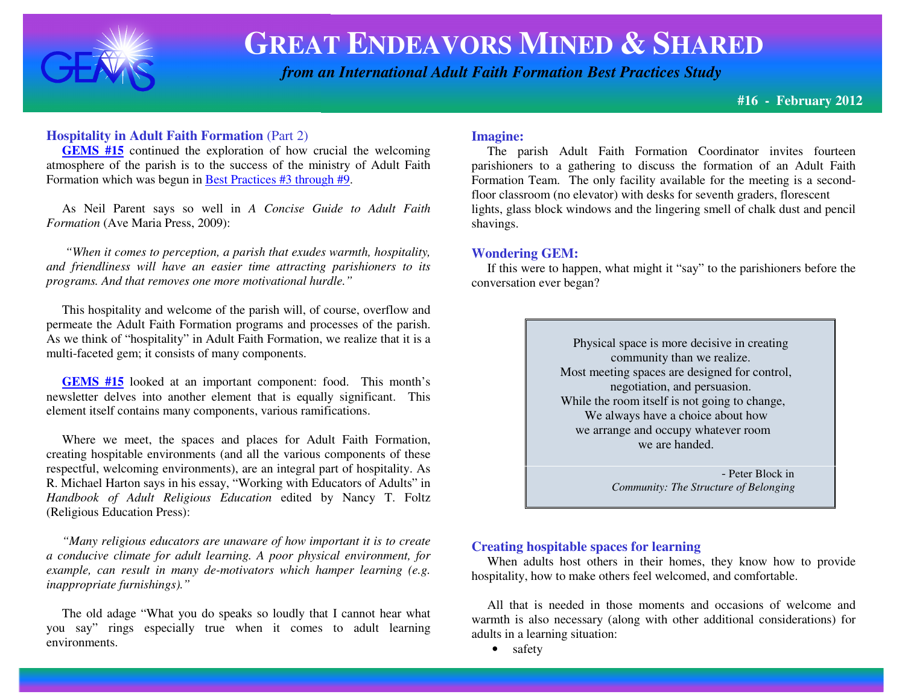

 *from an International Adult Faith Formation Best Practices Study*

**#16 - February 2012** 

## **Hospitality in Adult Faith Formation** (Part 2)

 **GEMS #15** continued the exploration of how crucial the welcoming atmosphere of the parish is to the success of the ministry of Adult Faith Formation which was begun in Best Practices #3 through #9.

 As Neil Parent says so well in *A Concise Guide to Adult Faith Formation* (Ave Maria Press, 2009):

 *"When it comes to perception, a parish that exudes warmth, hospitality, and friendliness will have an easier time attracting parishioners to its programs. And that removes one more motivational hurdle."* 

 This hospitality and welcome of the parish will, of course, overflow and permeate the Adult Faith Formation programs and processes of the parish. As we think of "hospitality" in Adult Faith Formation, we realize that it is a multi-faceted gem; it consists of many components.

**GEMS #15** looked at an important component: food. This month's newsletter delves into another element that is equally significant. This element itself contains many components, various ramifications.

 Where we meet, the spaces and places for Adult Faith Formation, creating hospitable environments (and all the various components of these respectful, welcoming environments), are an integral part of hospitality. As R. Michael Harton says in his essay, "Working with Educators of Adults" in *Handbook of Adult Religious Education* edited by Nancy T. Foltz (Religious Education Press):

 *"Many religious educators are unaware of how important it is to create a conducive climate for adult learning. A poor physical environment, for example, can result in many de-motivators which hamper learning (e.g. inappropriate furnishings)."* 

 The old adage "What you do speaks so loudly that I cannot hear what you say" rings especially true when it comes to adult learning environments.

### **Imagine:**

 The parish Adult Faith Formation Coordinator invites fourteen parishioners to a gathering to discuss the formation of an Adult Faith Formation Team. The only facility available for the meeting is a secondfloor classroom (no elevator) with desks for seventh graders, florescent lights, glass block windows and the lingering smell of chalk dust and pencil shavings.

### **Wondering GEM:**

 If this were to happen, what might it "say" to the parishioners before the conversation ever began?

> Physical space is more decisive in creating community than we realize. Most meeting spaces are designed for control, negotiation, and persuasion. While the room itself is not going to change, We always have a choice about how we arrange and occupy whatever room we are handed.

 - Peter Block in *Community: The Structure of Belonging* 

### **Creating hospitable spaces for learning**

 When adults host others in their homes, they know how to provide hospitality, how to make others feel welcomed, and comfortable.

 All that is needed in those moments and occasions of welcome and warmth is also necessary (along with other additional considerations) for adults in a learning situation:

• safety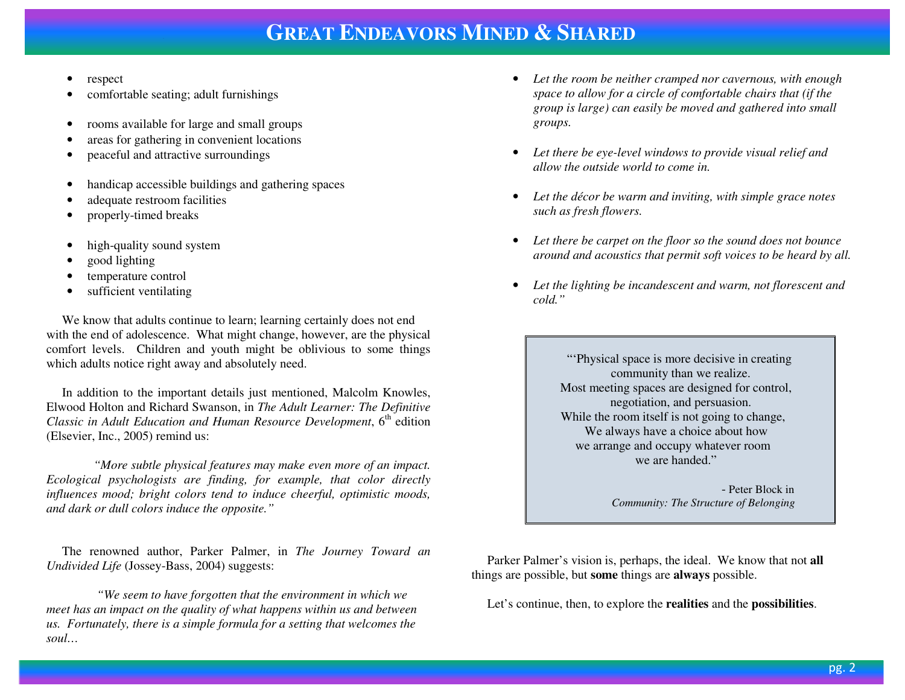- •respec<sup>t</sup>
- •comfortable seating; adult furnishings
- •rooms available for large and small groups
- •areas for gathering in convenient locations
- •peaceful and attractive surroundings
- •handicap accessible buildings and gathering spaces
- •adequate restroom facilities
- •properly-timed breaks
- •high-quality sound system
- •good lighting
- •temperature control
- $\bullet$ sufficient ventilating

 We know that adults continue to learn; learning certainly does not end with the end of adolescence. What might change, however, are the physical comfort levels. Children and youth might be oblivious to some things which adults notice right away and absolutely need.

 In addition to the important details just mentioned, Malcolm Knowles, Elwood Holton and Richard Swanson, in *The Adult Learner: The Definitive Classic in Adult Education and Human Resource Development*, 6<sup>th</sup> edition (Elsevier, Inc., 2005) remind us:

 *"More subtle physical features may make even more of an impact. Ecological psychologists are finding, for example, that color directly influences mood; bright colors tend to induce cheerful, optimistic moods, and dark or dull colors induce the opposite."* 

 The renowned author, Parker Palmer, in *The Journey Toward anUndivided Life* (Jossey-Bass, 2004) suggests:

 *"We seem to have forgotten that the environment in which we meet has an impact on the quality of what happens within us and between us. Fortunately, there is a simple formula for a setting that welcomes the soul…* 

- *Let the room be neither cramped nor cavernous, with enough space to allow for a circle of comfortable chairs that (if the group is large) can easily be moved and gathered into small groups.*
- *Let there be eye-level windows to provide visual relief and allow the outside world to come in.*
- • *Let the décor be warm and inviting, with simple grace notes such as fresh flowers.*
- $\bullet$  *Let there be carpet on the floor so the sound does not bounce around and acoustics that permit soft voices to be heard by all.*
- • *Let the lighting be incandescent and warm, not florescent and cold."*

 "'Physical space is more decisive in creating community than we realize. Most meeting spaces are designed for control, negotiation, and persuasion. While the room itself is not going to change, We always have a choice about how we arrange and occupy whatever room we are handed."

 - Peter Block in *Community: The Structure of Belonging* 

 Parker Palmer's vision is, perhaps, the ideal. We know that not **all** things are possible, but **some** things are **always** possible.

Let's continue, then, to explore the **realities** and the **possibilities**.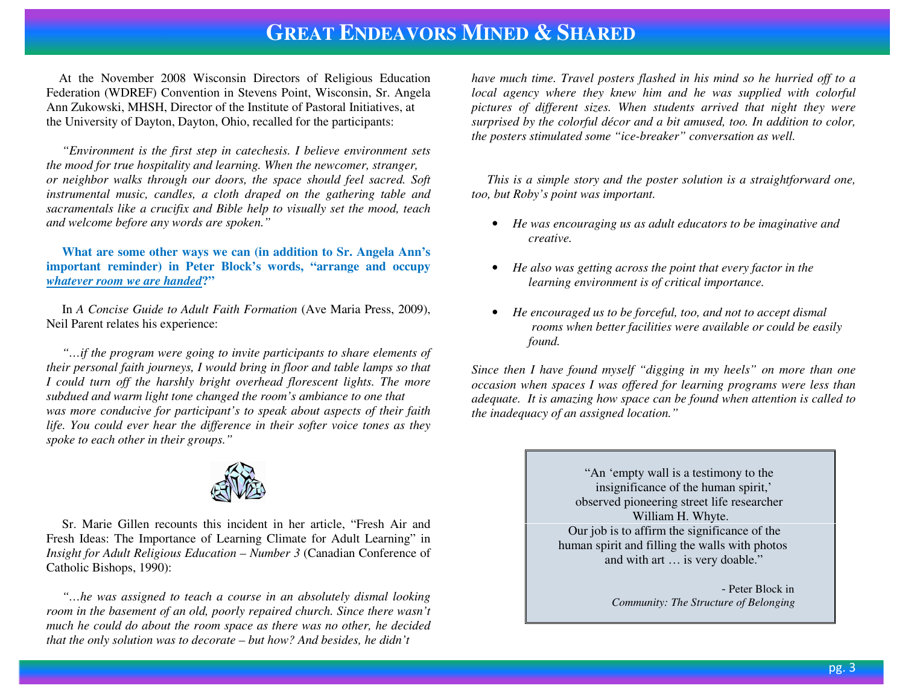At the November 2008 Wisconsin Directors of Religious Education Federation (WDREF) Convention in Stevens Point, Wisconsin, Sr. Angela Ann Zukowski, MHSH, Director of the Institute of Pastoral Initiatives, at the University of Dayton, Dayton, Ohio, recalled for the participants:

 *"Environment is the first step in catechesis. I believe environment sets the mood for true hospitality and learning. When the newcomer, stranger, or neighbor walks through our doors, the space should feel sacred. Soft instrumental music, candles, a cloth draped on the gathering table and sacramentals like a crucifix and Bible help to visually set the mood, teach and welcome before any words are spoken."* 

 **What are some other ways we can (in addition to Sr. Angela Ann's important reminder) in Peter Block's words, "arrange and occupy** *whatever room we are handed***?"** 

 In *A Concise Guide to Adult Faith Formation* (Ave Maria Press, 2009), Neil Parent relates his experience:

 *"…if the program were going to invite participants to share elements of their personal faith journeys, I would bring in floor and table lamps so that I could turn off the harshly bright overhead florescent lights. The more subdued and warm light tone changed the room's ambiance to one that was more conducive for participant's to speak about aspects of their faith life. You could ever hear the difference in their softer voice tones as they spoke to each other in their groups."* 



 Sr. Marie Gillen recounts this incident in her article, "Fresh Air and Fresh Ideas: The Importance of Learning Climate for Adult Learning" in *Insight for Adult Religious Education – Number 3* (Canadian Conference of Catholic Bishops, 1990):

 *"…he was assigned to teach a course in an absolutely dismal looking room in the basement of an old, poorly repaired church. Since there wasn't much he could do about the room space as there was no other, he decided that the only solution was to decorate – but how? And besides, he didn't* 

*have much time. Travel posters flashed in his mind so he hurried off to a* local agency where they knew him and he was supplied with colorful *pictures of different sizes. When students arrived that night they were surprised by the colorful décor and a bit amused, too. In addition to color, the posters stimulated some "ice-breaker" conversation as well.* 

 *This is a simple story and the poster solution is a straightforward one, too, but Roby's point was important.* 

- *He was encouraging us as adult educators to be imaginative and creative.*
- *He also was getting across the point that every factor in the learning environment is of critical importance.*
- *He encouraged us to be forceful, too, and not to accept dismal rooms when better facilities were available or could be easily found.*

*Since then I have found myself "digging in my heels" on more than one occasion when spaces I was offered for learning programs were less than adequate. It is amazing how space can be found when attention is called to the inadequacy of an assigned location."* 

> "An 'empty wall is a testimony to the insignificance of the human spirit,' observed pioneering street life researcher William H. Whyte. Our job is to affirm the significance of the human spirit and filling the walls with photos and with art … is very doable."

 - Peter Block in *Community: The Structure of Belonging*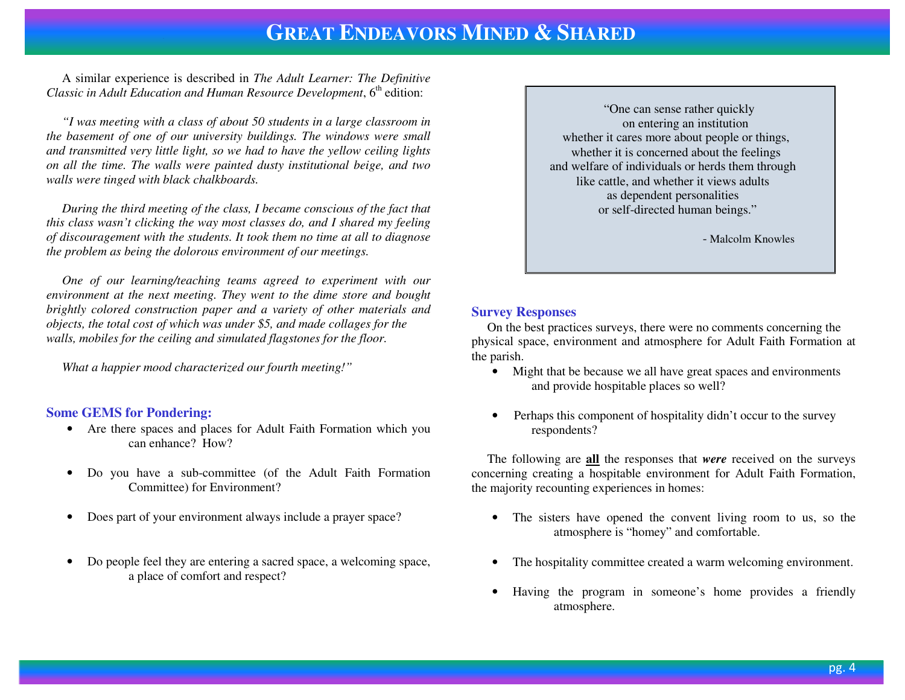A similar experience is described in *The Adult Learner: The DefinitiveClassic in Adult Education and Human Resource Development*, 6<sup>th</sup> edition:

 *"I was meeting with a class of about 50 students in a large classroom in the basement of one of our university buildings. The windows were small and transmitted very little light, so we had to have the yellow ceiling lights on all the time. The walls were painted dusty institutional beige, and two walls were tinged with black chalkboards.* 

 *During the third meeting of the class, I became conscious of the fact that this class wasn't clicking the way most classes do, and I shared my feeling of discouragement with the students. It took them no time at all to diagnose the problem as being the dolorous environment of our meetings.* 

 *One of our learning/teaching teams agreed to experiment with our environment at the next meeting. They went to the dime store and bought brightly colored construction paper and a variety of other materials and objects, the total cost of which was under \$5, and made collages for the walls, mobiles for the ceiling and simulated flagstones for the floor.* 

 *What a happier mood characterized our fourth meeting!"* 

### **Some GEMS for Pondering:**

- Are there spaces and places for Adult Faith Formation which you  $\bullet$ can enhance? How?
- • Do you have a sub-committee (of the Adult Faith Formation Committee) for Environment?
- •Does part of your environment always include a prayer space?
- • Do people feel they are entering a sacred space, a welcoming space, a place of comfort and respect?

 "One can sense rather quickly on entering an institution whether it cares more about people or things, whether it is concerned about the feelings and welfare of individuals or herds them through like cattle, and whether it views adults as dependent personalities or self-directed human beings."

- Malcolm Knowles

### **Survey Responses**

 On the best practices surveys, there were no comments concerning the physical space, environment and atmosphere for Adult Faith Formation at the parish.

- Might that be because we all have great spaces and environments and provide hospitable places so well?
- Perhaps this component of hospitality didn't occur to the survey respondents?

 The following are **all** the responses that *were* received on the surveys concerning creating a hospitable environment for Adult Faith Formation, the majority recounting experiences in homes:

- The sisters have opened the convent living room to us, so the atmosphere is "homey" and comfortable.
- •The hospitality committee created a warm welcoming environment.
- • Having the program in someone's home provides a friendly atmosphere.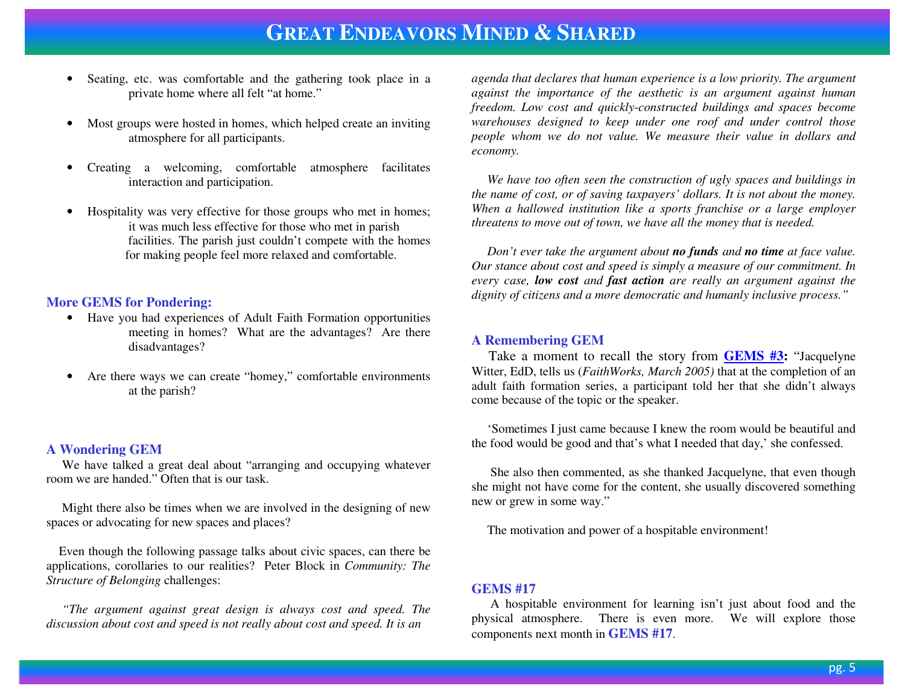- • Seating, etc. was comfortable and the gathering took place in a private home where all felt "at home."
- $\bullet$  Most groups were hosted in homes, which helped create an inviting atmosphere for all participants.
- • Creating a welcoming, comfortable atmosphere facilitates interaction and participation.
- • Hospitality was very effective for those groups who met in homes; it was much less effective for those who met in parish facilities. The parish just couldn't compete with the homes for making people feel more relaxed and comfortable.

#### **More GEMS for Pondering:**

- Have you had experiences of Adult Faith Formation opportunities meeting in homes? What are the advantages? Are there disadvantages?
- • Are there ways we can create "homey," comfortable environments at the parish?

#### **A Wondering GEM**

 We have talked a great deal about "arranging and occupying whatever room we are handed." Often that is our task.

 Might there also be times when we are involved in the designing of new spaces or advocating for new spaces and places?

 Even though the following passage talks about civic spaces, can there be applications, corollaries to our realities? Peter Block in *Community: The Structure of Belonging* challenges:

*"The argument against great design is always cost and speed. The discussion about cost and speed is not really about cost and speed. It is an* 

*agenda that declares that human experience is a low priority. The argument against the importance of the aesthetic is an argument against human freedom. Low cost and quickly-constructed buildings and spaces become warehouses designed to keep under one roof and under control those people whom we do not value. We measure their value in dollars and economy.* 

 *We have too often seen the construction of ugly spaces and buildings in the name of cost, or of saving taxpayers' dollars. It is not about the money. When a hallowed institution like a sports franchise or a large employer threatens to move out of town, we have all the money that is needed.* 

 *Don't ever take the argument about no funds and no time at face value. Our stance about cost and speed is simply a measure of our commitment. In every case, low cost and fast action are really an argument against the dignity of citizens and a more democratic and humanly inclusive process."* 

#### **A Remembering GEM**

 Take a moment to recall the story from **GEMS #3:** "Jacquelyne Witter, EdD, tells us (*FaithWorks, March 2005)* that at the completion of an adult faith formation series, a participant told her that she didn't always come because of the topic or the speaker.

 'Sometimes I just came because I knew the room would be beautiful and the food would be good and that's what I needed that day,' she confessed.

 She also then commented, as she thanked Jacquelyne, that even though she might not have come for the content, she usually discovered something new or grew in some way."

The motivation and power of a hospitable environment!

### **GEMS #17**

 A hospitable environment for learning isn't just about food and the physical atmosphere. There is even more. We will explore those components next month in **GEMS #17**.